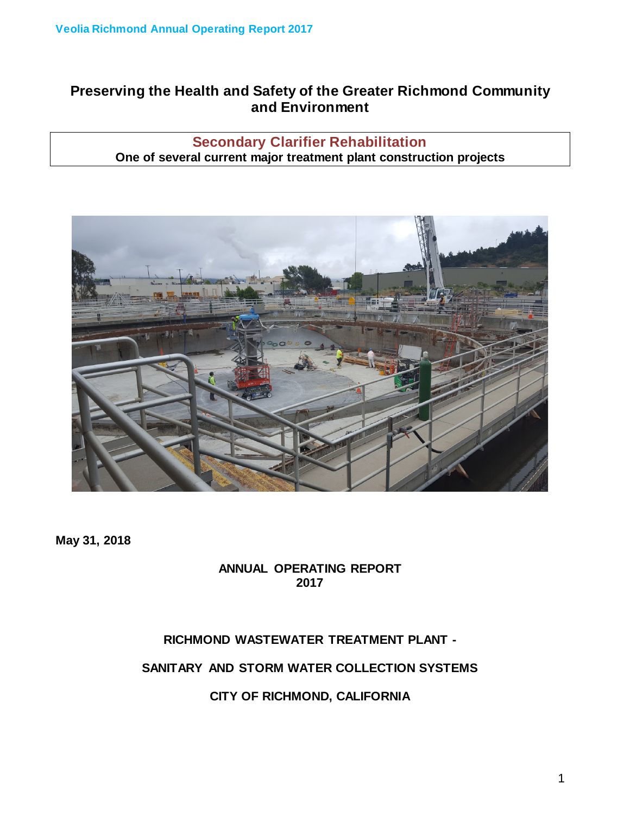# **Preserving the Health and Safety of the Greater Richmond Community and Environment**

# **Secondary Clarifier Rehabilitation One of several current major treatment plant construction projects**



**May 31, 2018**

## **ANNUAL OPERATING REPORT 2017**

## **RICHMOND WASTEWATER TREATMENT PLANT -**

**SANITARY AND STORM WATER COLLECTION SYSTEMS**

**CITY OF RICHMOND, CALIFORNIA**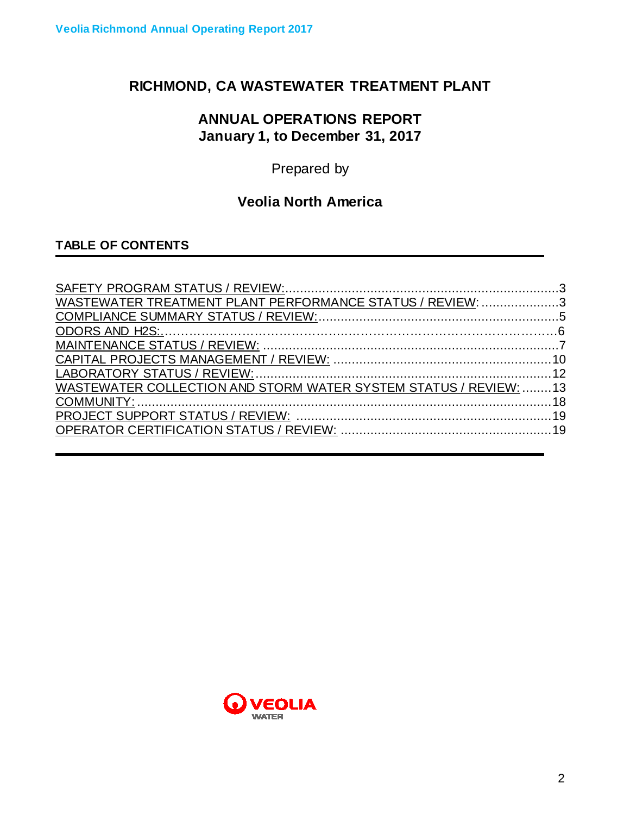# **RICHMOND, CA WASTEWATER TREATMENT PLANT**

# **ANNUAL OPERATIONS REPORT January 1, to December 31, 2017**

Prepared by

# **Veolia North America**

# **TABLE OF CONTENTS**

| WASTEWATER TREATMENT PLANT PERFORMANCE STATUS / REVIEW: 3        |  |
|------------------------------------------------------------------|--|
|                                                                  |  |
|                                                                  |  |
|                                                                  |  |
|                                                                  |  |
|                                                                  |  |
| WASTEWATER COLLECTION AND STORM WATER SYSTEM STATUS / REVIEW: 13 |  |
|                                                                  |  |
|                                                                  |  |
|                                                                  |  |

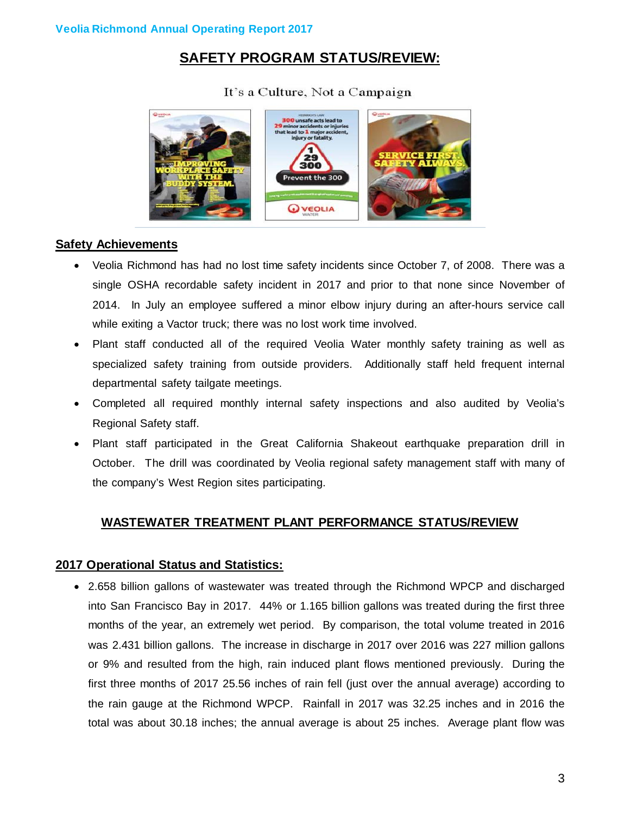# **SAFETY PROGRAM STATUS/REVIEW:**

## It's a Culture, Not a Campaign



### **Safety Achievements**

- Veolia Richmond has had no lost time safety incidents since October 7, of 2008. There was a single OSHA recordable safety incident in 2017 and prior to that none since November of 2014. In July an employee suffered a minor elbow injury during an after-hours service call while exiting a Vactor truck; there was no lost work time involved.
- Plant staff conducted all of the required Veolia Water monthly safety training as well as specialized safety training from outside providers. Additionally staff held frequent internal departmental safety tailgate meetings.
- Completed all required monthly internal safety inspections and also audited by Veolia's Regional Safety staff.
- Plant staff participated in the Great California Shakeout earthquake preparation drill in October. The drill was coordinated by Veolia regional safety management staff with many of the company's West Region sites participating.

## **WASTEWATER TREATMENT PLANT PERFORMANCE STATUS/REVIEW**

### **2017 Operational Status and Statistics:**

• 2.658 billion gallons of wastewater was treated through the Richmond WPCP and discharged into San Francisco Bay in 2017. 44% or 1.165 billion gallons was treated during the first three months of the year, an extremely wet period. By comparison, the total volume treated in 2016 was 2.431 billion gallons. The increase in discharge in 2017 over 2016 was 227 million gallons or 9% and resulted from the high, rain induced plant flows mentioned previously. During the first three months of 2017 25.56 inches of rain fell (just over the annual average) according to the rain gauge at the Richmond WPCP. Rainfall in 2017 was 32.25 inches and in 2016 the total was about 30.18 inches; the annual average is about 25 inches. Average plant flow was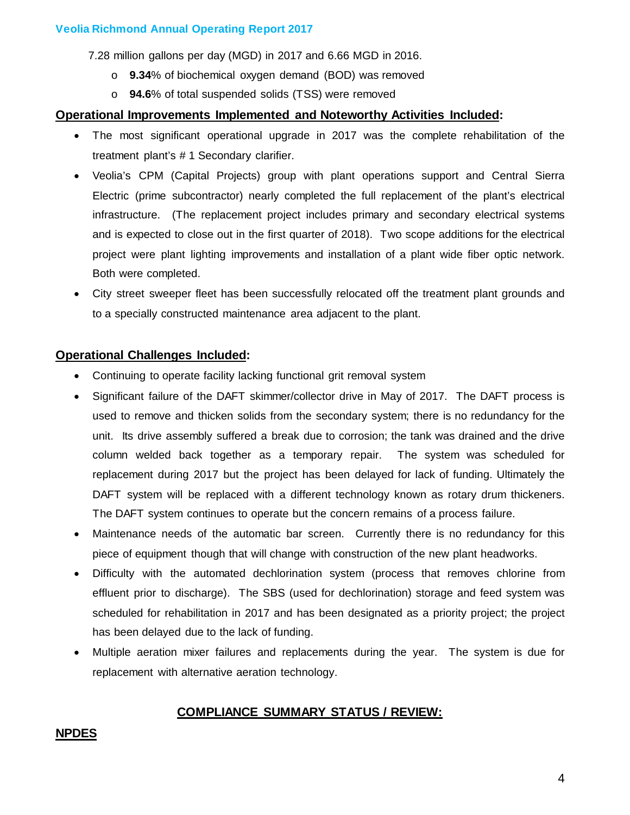7.28 million gallons per day (MGD) in 2017 and 6.66 MGD in 2016.

- o **9.34**% of biochemical oxygen demand (BOD) was removed
- o **94.6**% of total suspended solids (TSS) were removed

#### **Operational Improvements Implemented and Noteworthy Activities Included:**

- The most significant operational upgrade in 2017 was the complete rehabilitation of the treatment plant's # 1 Secondary clarifier.
- Veolia's CPM (Capital Projects) group with plant operations support and Central Sierra Electric (prime subcontractor) nearly completed the full replacement of the plant's electrical infrastructure. (The replacement project includes primary and secondary electrical systems and is expected to close out in the first quarter of 2018). Two scope additions for the electrical project were plant lighting improvements and installation of a plant wide fiber optic network. Both were completed.
- City street sweeper fleet has been successfully relocated off the treatment plant grounds and to a specially constructed maintenance area adjacent to the plant.

#### **Operational Challenges Included:**

- Continuing to operate facility lacking functional grit removal system
- Significant failure of the DAFT skimmer/collector drive in May of 2017. The DAFT process is used to remove and thicken solids from the secondary system; there is no redundancy for the unit. Its drive assembly suffered a break due to corrosion; the tank was drained and the drive column welded back together as a temporary repair. The system was scheduled for replacement during 2017 but the project has been delayed for lack of funding. Ultimately the DAFT system will be replaced with a different technology known as rotary drum thickeners. The DAFT system continues to operate but the concern remains of a process failure.
- Maintenance needs of the automatic bar screen. Currently there is no redundancy for this piece of equipment though that will change with construction of the new plant headworks.
- Difficulty with the automated dechlorination system (process that removes chlorine from effluent prior to discharge). The SBS (used for dechlorination) storage and feed system was scheduled for rehabilitation in 2017 and has been designated as a priority project; the project has been delayed due to the lack of funding.
- Multiple aeration mixer failures and replacements during the year. The system is due for replacement with alternative aeration technology.

#### **COMPLIANCE SUMMARY STATUS / REVIEW:**

#### **NPDES**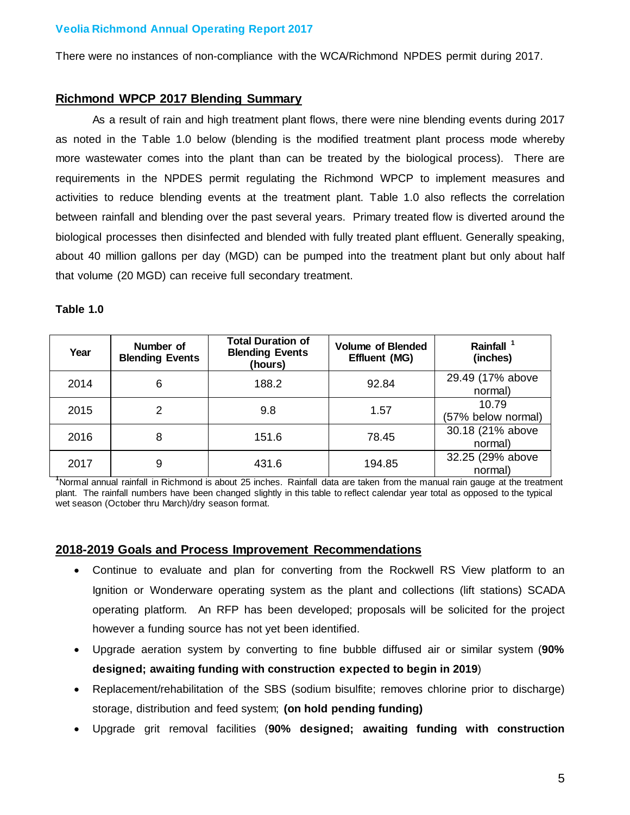There were no instances of non-compliance with the WCA/Richmond NPDES permit during 2017.

#### **Richmond WPCP 2017 Blending Summary**

As a result of rain and high treatment plant flows, there were nine blending events during 2017 as noted in the Table 1.0 below (blending is the modified treatment plant process mode whereby more wastewater comes into the plant than can be treated by the biological process). There are requirements in the NPDES permit regulating the Richmond WPCP to implement measures and activities to reduce blending events at the treatment plant. Table 1.0 also reflects the correlation between rainfall and blending over the past several years. Primary treated flow is diverted around the biological processes then disinfected and blended with fully treated plant effluent. Generally speaking, about 40 million gallons per day (MGD) can be pumped into the treatment plant but only about half that volume (20 MGD) can receive full secondary treatment.

#### **Table 1.0**

| Year | Number of<br><b>Blending Events</b> | <b>Total Duration of</b><br><b>Blending Events</b><br>(hours) | <b>Volume of Blended</b><br>Effluent (MG) | Rainfall <sup>1</sup><br>(inches) |
|------|-------------------------------------|---------------------------------------------------------------|-------------------------------------------|-----------------------------------|
| 2014 | 6                                   | 188.2                                                         | 92.84                                     | 29.49 (17% above<br>normal)       |
| 2015 | 2                                   | 9.8                                                           | 1.57                                      | 10.79<br>(57% below normal)       |
| 2016 | 8                                   | 151.6                                                         | 78.45                                     | 30.18 (21% above<br>normal)       |
| 2017 | 9                                   | 431.6                                                         | 194.85                                    | 32.25 (29% above<br>normal)       |

normal) **<sup>1</sup>** Normal annual rainfall in Richmond is about 25 inches. Rainfall data are taken from the manual rain gauge at the treatment plant. The rainfall numbers have been changed slightly in this table to reflect calendar year total as opposed to the typical wet season (October thru March)/dry season format.

#### **2018-2019 Goals and Process Improvement Recommendations**

- Continue to evaluate and plan for converting from the Rockwell RS View platform to an Ignition or Wonderware operating system as the plant and collections (lift stations) SCADA operating platform. An RFP has been developed; proposals will be solicited for the project however a funding source has not yet been identified.
- Upgrade aeration system by converting to fine bubble diffused air or similar system (**90% designed; awaiting funding with construction expected to begin in 2019**)
- Replacement/rehabilitation of the SBS (sodium bisulfite; removes chlorine prior to discharge) storage, distribution and feed system; **(on hold pending funding)**
- Upgrade grit removal facilities (**90% designed; awaiting funding with construction**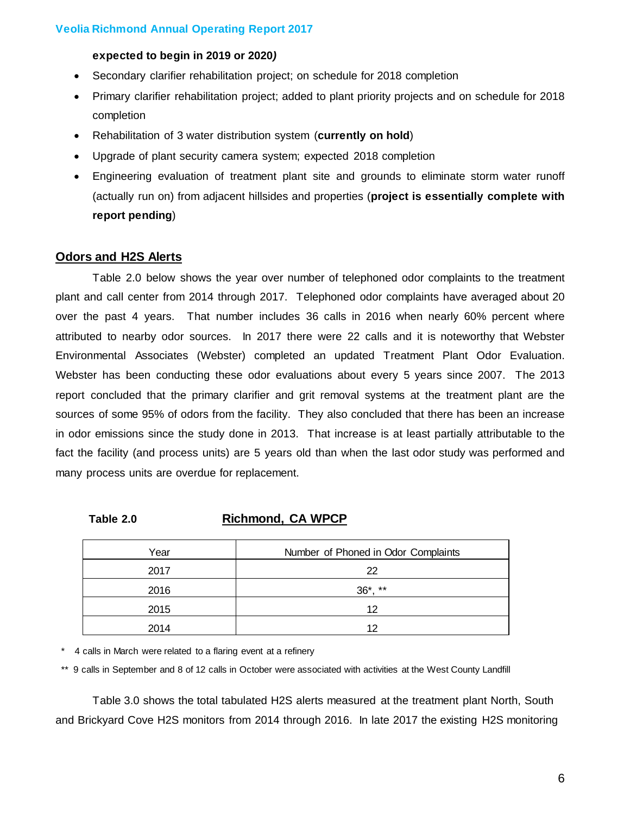#### **expected to begin in 2019 or 2020***)*

- Secondary clarifier rehabilitation project; on schedule for 2018 completion
- Primary clarifier rehabilitation project; added to plant priority projects and on schedule for 2018 completion
- Rehabilitation of 3 water distribution system (**currently on hold**)
- Upgrade of plant security camera system; expected 2018 completion
- Engineering evaluation of treatment plant site and grounds to eliminate storm water runoff (actually run on) from adjacent hillsides and properties (**project is essentially complete with report pending**)

#### **Odors and H2S Alerts**

Table 2.0 below shows the year over number of telephoned odor complaints to the treatment plant and call center from 2014 through 2017. Telephoned odor complaints have averaged about 20 over the past 4 years. That number includes 36 calls in 2016 when nearly 60% percent where attributed to nearby odor sources. In 2017 there were 22 calls and it is noteworthy that Webster Environmental Associates (Webster) completed an updated Treatment Plant Odor Evaluation. Webster has been conducting these odor evaluations about every 5 years since 2007. The 2013 report concluded that the primary clarifier and grit removal systems at the treatment plant are the sources of some 95% of odors from the facility. They also concluded that there has been an increase in odor emissions since the study done in 2013. That increase is at least partially attributable to the fact the facility (and process units) are 5 years old than when the last odor study was performed and many process units are overdue for replacement.

## **Table 2.0 Richmond, CA WPCP**

| Year | Number of Phoned in Odor Complaints |
|------|-------------------------------------|
| 2017 | 22                                  |
| 2016 | **<br>$36^*$ .                      |
| 2015 | 12                                  |
| 2014 | 12                                  |

\* 4 calls in March were related to a flaring event at a refinery

\*\* 9 calls in September and 8 of 12 calls in October were associated with activities at the West County Landfill

Table 3.0 shows the total tabulated H2S alerts measured at the treatment plant North, South and Brickyard Cove H2S monitors from 2014 through 2016. In late 2017 the existing H2S monitoring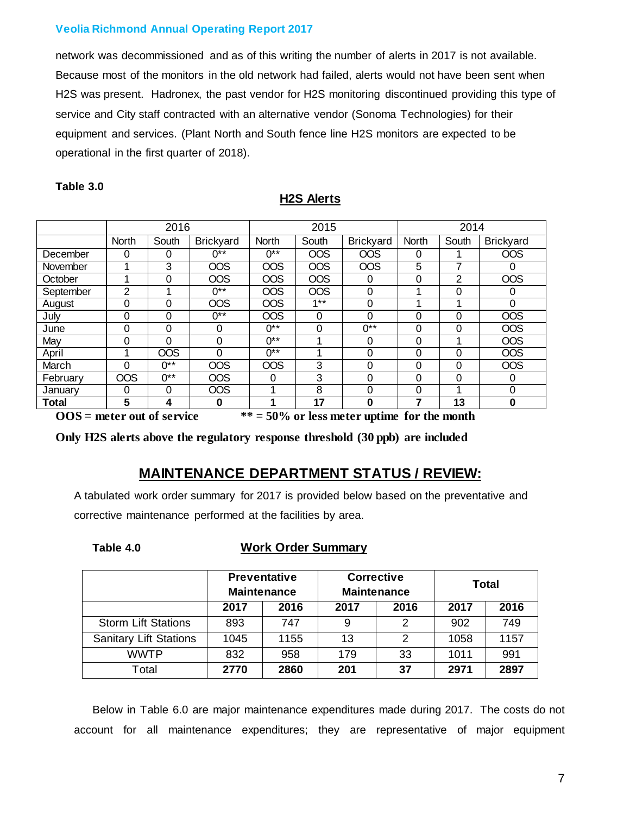network was decommissioned and as of this writing the number of alerts in 2017 is not available. Because most of the monitors in the old network had failed, alerts would not have been sent when H2S was present. Hadronex, the past vendor for H2S monitoring discontinued providing this type of service and City staff contracted with an alternative vendor (Sonoma Technologies) for their equipment and services. (Plant North and South fence line H2S monitors are expected to be operational in the first quarter of 2018).

**H2S Alerts**

|           | 2016       |            |                  | 2015       |            | 2014             |              |          |                  |
|-----------|------------|------------|------------------|------------|------------|------------------|--------------|----------|------------------|
|           | North      | South      | <b>Brickyard</b> | North      | South      | <b>Brickyard</b> | <b>North</b> | South    | <b>Brickyard</b> |
| December  | 0          | 0          | $0**$            | 0**        | <b>OOS</b> | <b>OOS</b>       | 0            |          | <b>OOS</b>       |
| November  | 1          | 3          | <b>OOS</b>       | <b>OOS</b> | <b>OOS</b> | <b>OOS</b>       | 5            | 7        | 0                |
| October   | 1          | $\Omega$   | <b>OOS</b>       | <b>OOS</b> | <b>OOS</b> | $\Omega$         | 0            | 2        | <b>OOS</b>       |
| September | 2          | и          | $0**$            | <b>OOS</b> | <b>OOS</b> | $\Omega$         |              | 0        | 0                |
| August    | 0          | 0          | <b>OOS</b>       | <b>OOS</b> | $1***$     | $\Omega$         |              |          | 0                |
| July      | 0          | 0          | $0**$            | <b>OOS</b> | $\Omega$   | $\Omega$         | 0            | 0        | <b>OOS</b>       |
| June      | 0          | 0          | 0                | በ**        | 0          | $0**$            | 0            | $\Omega$ | <b>OOS</b>       |
| May       | 0          | 0          | 0                | 0**        | 4          | 0                | 0            | 1        | <b>OOS</b>       |
| April     | 1          | <b>OOS</b> | $\Omega$         | $0**$      | 4          | $\Omega$         | 0            | 0        | <b>OOS</b>       |
| March     | 0          | 0**        | <b>OOS</b>       | <b>OOS</b> | 3          | $\Omega$         | 0            | $\Omega$ | <b>OOS</b>       |
| February  | <b>OOS</b> | $0**$      | <b>OOS</b>       | $\Omega$   | 3          | $\Omega$         | 0            | 0        | 0                |
| January   | 0          | $\Omega$   | <b>OOS</b>       | 4          | 8          | 0                | 0            | 4        | 0                |
| Total     | 5          | 4          | $\bf{0}$         |            | 17         | $\Omega$         | 7            | 13       | $\bf{0}$         |

#### **Table 3.0**

**OOS = meter out of service \*\* = 50% or less meter uptime for the month**

**Only H2S alerts above the regulatory response threshold (30 ppb) are included**

## **MAINTENANCE DEPARTMENT STATUS / REVIEW:**

A tabulated work order summary for 2017 is provided below based on the preventative and corrective maintenance performed at the facilities by area.

#### **Table 4.0 Work Order Summary**

|                               | <b>Preventative</b><br><b>Maintenance</b> |      | <b>Corrective</b><br><b>Maintenance</b> |               | Total |      |
|-------------------------------|-------------------------------------------|------|-----------------------------------------|---------------|-------|------|
|                               | 2017                                      | 2016 | 2017                                    | 2016          | 2017  | 2016 |
| <b>Storm Lift Stations</b>    | 893                                       | 747  | 9                                       | 2             | 902   | 749  |
| <b>Sanitary Lift Stations</b> | 1045                                      | 1155 | 13                                      | $\mathcal{P}$ | 1058  | 1157 |
| <b>WWTP</b>                   | 832                                       | 958  | 179                                     | 33            | 1011  | 991  |
| Total                         | 2770                                      | 2860 | 201                                     | 37            | 2971  | 2897 |

Below in Table 6.0 are major maintenance expenditures made during 2017. The costs do not account for all maintenance expenditures; they are representative of major equipment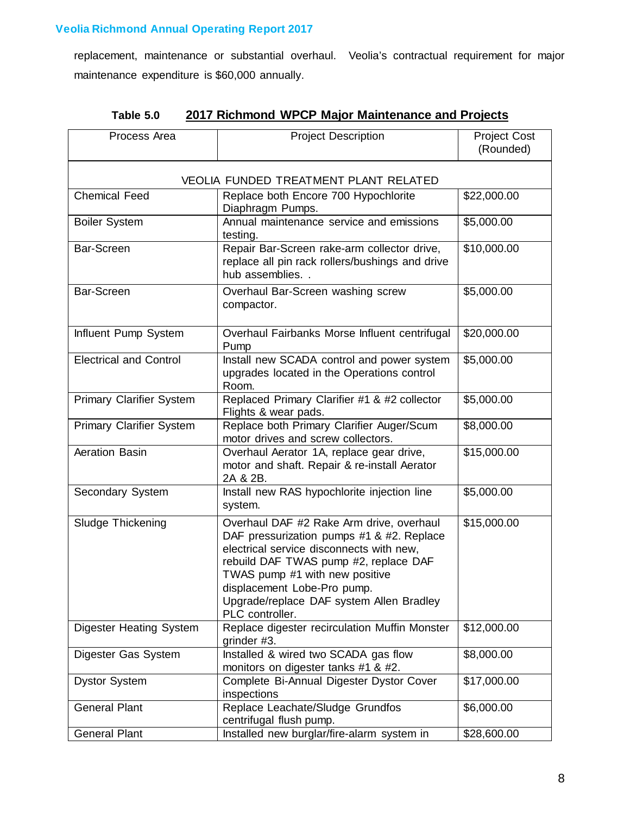replacement, maintenance or substantial overhaul. Veolia's contractual requirement for major maintenance expenditure is \$60,000 annually.

| Process Area                          | <b>Project Description</b>                                                                                                                                                                                                                                                                                 | <b>Project Cost</b><br>(Rounded) |  |  |  |  |
|---------------------------------------|------------------------------------------------------------------------------------------------------------------------------------------------------------------------------------------------------------------------------------------------------------------------------------------------------------|----------------------------------|--|--|--|--|
| VEOLIA FUNDED TREATMENT PLANT RELATED |                                                                                                                                                                                                                                                                                                            |                                  |  |  |  |  |
| <b>Chemical Feed</b>                  | Replace both Encore 700 Hypochlorite<br>Diaphragm Pumps.                                                                                                                                                                                                                                                   | \$22,000.00                      |  |  |  |  |
| <b>Boiler System</b>                  | Annual maintenance service and emissions<br>testing.                                                                                                                                                                                                                                                       | \$5,000.00                       |  |  |  |  |
| Bar-Screen                            | Repair Bar-Screen rake-arm collector drive,<br>replace all pin rack rollers/bushings and drive<br>hub assemblies. .                                                                                                                                                                                        | \$10,000.00                      |  |  |  |  |
| Bar-Screen                            | Overhaul Bar-Screen washing screw<br>compactor.                                                                                                                                                                                                                                                            | \$5,000.00                       |  |  |  |  |
| Influent Pump System                  | Overhaul Fairbanks Morse Influent centrifugal<br>Pump                                                                                                                                                                                                                                                      | \$20,000.00                      |  |  |  |  |
| <b>Electrical and Control</b>         | Install new SCADA control and power system<br>upgrades located in the Operations control<br>Room.                                                                                                                                                                                                          | \$5,000.00                       |  |  |  |  |
| <b>Primary Clarifier System</b>       | Replaced Primary Clarifier #1 & #2 collector<br>Flights & wear pads.                                                                                                                                                                                                                                       | \$5,000.00                       |  |  |  |  |
| <b>Primary Clarifier System</b>       | Replace both Primary Clarifier Auger/Scum<br>motor drives and screw collectors.                                                                                                                                                                                                                            | \$8,000.00                       |  |  |  |  |
| Aeration Basin                        | Overhaul Aerator 1A, replace gear drive,<br>motor and shaft. Repair & re-install Aerator<br>2A & 2B.                                                                                                                                                                                                       | \$15,000.00                      |  |  |  |  |
| Secondary System                      | Install new RAS hypochlorite injection line<br>system.                                                                                                                                                                                                                                                     | \$5,000.00                       |  |  |  |  |
| Sludge Thickening                     | Overhaul DAF #2 Rake Arm drive, overhaul<br>DAF pressurization pumps #1 & #2. Replace<br>electrical service disconnects with new,<br>rebuild DAF TWAS pump #2, replace DAF<br>TWAS pump #1 with new positive<br>displacement Lobe-Pro pump.<br>Upgrade/replace DAF system Allen Bradley<br>PLC controller. | \$15,000.00                      |  |  |  |  |
| <b>Digester Heating System</b>        | Replace digester recirculation Muffin Monster<br>grinder #3.                                                                                                                                                                                                                                               | \$12,000.00                      |  |  |  |  |
| Digester Gas System                   | Installed & wired two SCADA gas flow<br>monitors on digester tanks #1 & #2.                                                                                                                                                                                                                                | \$8,000.00                       |  |  |  |  |
| <b>Dystor System</b>                  | Complete Bi-Annual Digester Dystor Cover<br>inspections                                                                                                                                                                                                                                                    | \$17,000.00                      |  |  |  |  |
| <b>General Plant</b>                  | Replace Leachate/Sludge Grundfos<br>centrifugal flush pump.                                                                                                                                                                                                                                                | \$6,000.00                       |  |  |  |  |
| <b>General Plant</b>                  | Installed new burglar/fire-alarm system in                                                                                                                                                                                                                                                                 | \$28,600.00                      |  |  |  |  |

## **Table 5.0 2017 Richmond WPCP Major Maintenance and Projects**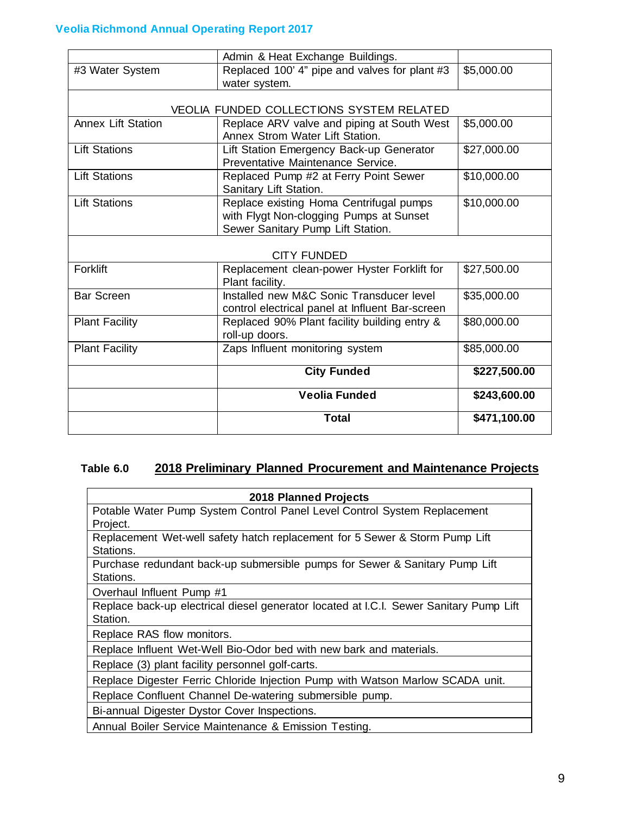|                           | Admin & Heat Exchange Buildings.                                                                                        |              |
|---------------------------|-------------------------------------------------------------------------------------------------------------------------|--------------|
| #3 Water System           | Replaced 100' 4" pipe and valves for plant #3<br>water system.                                                          | \$5,000.00   |
|                           | <b>VEOLIA FUNDED COLLECTIONS SYSTEM RELATED</b>                                                                         |              |
| <b>Annex Lift Station</b> | Replace ARV valve and piping at South West<br>Annex Strom Water Lift Station.                                           | \$5,000.00   |
| <b>Lift Stations</b>      | Lift Station Emergency Back-up Generator<br>Preventative Maintenance Service.                                           | \$27,000.00  |
| <b>Lift Stations</b>      | Replaced Pump #2 at Ferry Point Sewer<br>Sanitary Lift Station.                                                         | \$10,000.00  |
| <b>Lift Stations</b>      | Replace existing Homa Centrifugal pumps<br>with Flygt Non-clogging Pumps at Sunset<br>Sewer Sanitary Pump Lift Station. | \$10,000.00  |
|                           | <b>CITY FUNDED</b>                                                                                                      |              |
| Forklift                  | Replacement clean-power Hyster Forklift for<br>Plant facility.                                                          | \$27,500.00  |
| <b>Bar Screen</b>         | Installed new M&C Sonic Transducer level<br>control electrical panel at Influent Bar-screen                             | \$35,000.00  |
| <b>Plant Facility</b>     | Replaced 90% Plant facility building entry &<br>roll-up doors.                                                          | \$80,000.00  |
| <b>Plant Facility</b>     | Zaps Influent monitoring system                                                                                         | \$85,000.00  |
|                           | <b>City Funded</b>                                                                                                      | \$227,500.00 |
|                           | Veolia Funded                                                                                                           | \$243,600.00 |
|                           | <b>Total</b>                                                                                                            | \$471,100.00 |

## **Table 6.0 2018 Preliminary Planned Procurement and Maintenance Projects**

| <b>2018 Planned Projects</b>                                                           |
|----------------------------------------------------------------------------------------|
| Potable Water Pump System Control Panel Level Control System Replacement               |
| Project.                                                                               |
| Replacement Wet-well safety hatch replacement for 5 Sewer & Storm Pump Lift            |
| Stations.                                                                              |
| Purchase redundant back-up submersible pumps for Sewer & Sanitary Pump Lift            |
| Stations.                                                                              |
| Overhaul Influent Pump #1                                                              |
| Replace back-up electrical diesel generator located at I.C.I. Sewer Sanitary Pump Lift |
| Station.                                                                               |
| Replace RAS flow monitors.                                                             |
| Replace Influent Wet-Well Bio-Odor bed with new bark and materials.                    |
| Replace (3) plant facility personnel golf-carts.                                       |
| Replace Digester Ferric Chloride Injection Pump with Watson Marlow SCADA unit.         |
| Replace Confluent Channel De-watering submersible pump.                                |
| Bi-annual Digester Dystor Cover Inspections.                                           |
| Annual Boiler Service Maintenance & Emission Testing.                                  |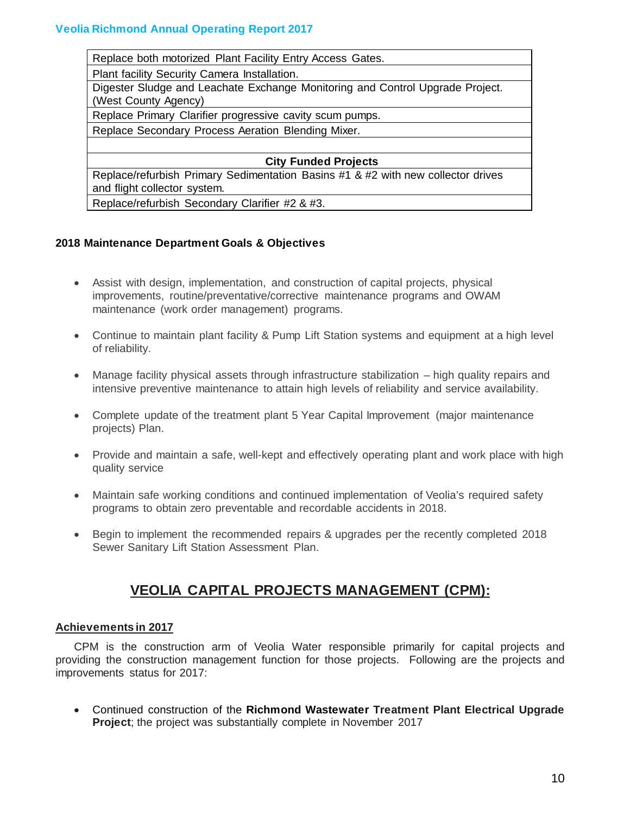| Replace both motorized Plant Facility Entry Access Gates.                                             |
|-------------------------------------------------------------------------------------------------------|
| Plant facility Security Camera Installation.                                                          |
| Digester Sludge and Leachate Exchange Monitoring and Control Upgrade Project.<br>(West County Agency) |
| Replace Primary Clarifier progressive cavity scum pumps.                                              |
| Replace Secondary Process Aeration Blending Mixer.                                                    |
|                                                                                                       |
| <b>City Funded Projects</b>                                                                           |
| Replace/refurbish Primary Sedimentation Basins #1 & #2 with new collector drives                      |
| and flight collector system.                                                                          |
| Replace/refurbish Secondary Clarifier #2 & #3.                                                        |

#### **2018 Maintenance Department Goals & Objectives**

- Assist with design, implementation, and construction of capital projects, physical improvements, routine/preventative/corrective maintenance programs and OWAM maintenance (work order management) programs.
- Continue to maintain plant facility & Pump Lift Station systems and equipment at a high level of reliability.
- Manage facility physical assets through infrastructure stabilization high quality repairs and intensive preventive maintenance to attain high levels of reliability and service availability.
- Complete update of the treatment plant 5 Year Capital Improvement (major maintenance projects) Plan.
- Provide and maintain a safe, well-kept and effectively operating plant and work place with high quality service
- Maintain safe working conditions and continued implementation of Veolia's required safety programs to obtain zero preventable and recordable accidents in 2018.
- Begin to implement the recommended repairs & upgrades per the recently completed 2018 Sewer Sanitary Lift Station Assessment Plan.

# **VEOLIA CAPITAL PROJECTS MANAGEMENT (CPM):**

#### **Achievements in 2017**

CPM is the construction arm of Veolia Water responsible primarily for capital projects and providing the construction management function for those projects. Following are the projects and improvements status for 2017:

• Continued construction of the **Richmond Wastewater Treatment Plant Electrical Upgrade Project**; the project was substantially complete in November 2017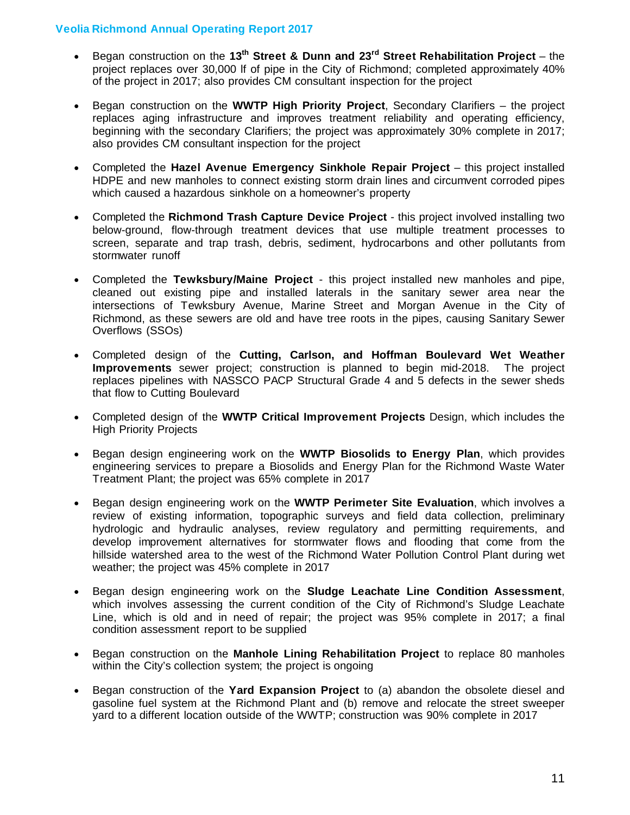- Began construction on the **13th Street & Dunn and 23rd Street Rehabilitation Project** the project replaces over 30,000 lf of pipe in the City of Richmond; completed approximately 40% of the project in 2017; also provides CM consultant inspection for the project
- Began construction on the **WWTP High Priority Project**, Secondary Clarifiers the project replaces aging infrastructure and improves treatment reliability and operating efficiency, beginning with the secondary Clarifiers; the project was approximately 30% complete in 2017; also provides CM consultant inspection for the project
- Completed the **Hazel Avenue Emergency Sinkhole Repair Project** this project installed HDPE and new manholes to connect existing storm drain lines and circumvent corroded pipes which caused a hazardous sinkhole on a homeowner's property
- Completed the **Richmond Trash Capture Device Project** this project involved installing two below-ground, flow-through treatment devices that use multiple treatment processes to screen, separate and trap trash, debris, sediment, hydrocarbons and other pollutants from stormwater runoff
- Completed the **Tewksbury/Maine Project** this project installed new manholes and pipe, cleaned out existing pipe and installed laterals in the sanitary sewer area near the intersections of Tewksbury Avenue, Marine Street and Morgan Avenue in the City of Richmond, as these sewers are old and have tree roots in the pipes, causing Sanitary Sewer Overflows (SSOs)
- Completed design of the **Cutting, Carlson, and Hoffman Boulevard Wet Weather Improvements** sewer project; construction is planned to begin mid-2018. The project replaces pipelines with NASSCO PACP Structural Grade 4 and 5 defects in the sewer sheds that flow to Cutting Boulevard
- Completed design of the **WWTP Critical Improvement Projects** Design, which includes the High Priority Projects
- Began design engineering work on the **WWTP Biosolids to Energy Plan**, which provides engineering services to prepare a Biosolids and Energy Plan for the Richmond Waste Water Treatment Plant; the project was 65% complete in 2017
- Began design engineering work on the **WWTP Perimeter Site Evaluation**, which involves a review of existing information, topographic surveys and field data collection, preliminary hydrologic and hydraulic analyses, review regulatory and permitting requirements, and develop improvement alternatives for stormwater flows and flooding that come from the hillside watershed area to the west of the Richmond Water Pollution Control Plant during wet weather; the project was 45% complete in 2017
- Began design engineering work on the **Sludge Leachate Line Condition Assessment**, which involves assessing the current condition of the City of Richmond's Sludge Leachate Line, which is old and in need of repair; the project was 95% complete in 2017; a final condition assessment report to be supplied
- Began construction on the **Manhole Lining Rehabilitation Project** to replace 80 manholes within the City's collection system; the project is ongoing
- Began construction of the **Yard Expansion Project** to (a) abandon the obsolete diesel and gasoline fuel system at the Richmond Plant and (b) remove and relocate the street sweeper yard to a different location outside of the WWTP; construction was 90% complete in 2017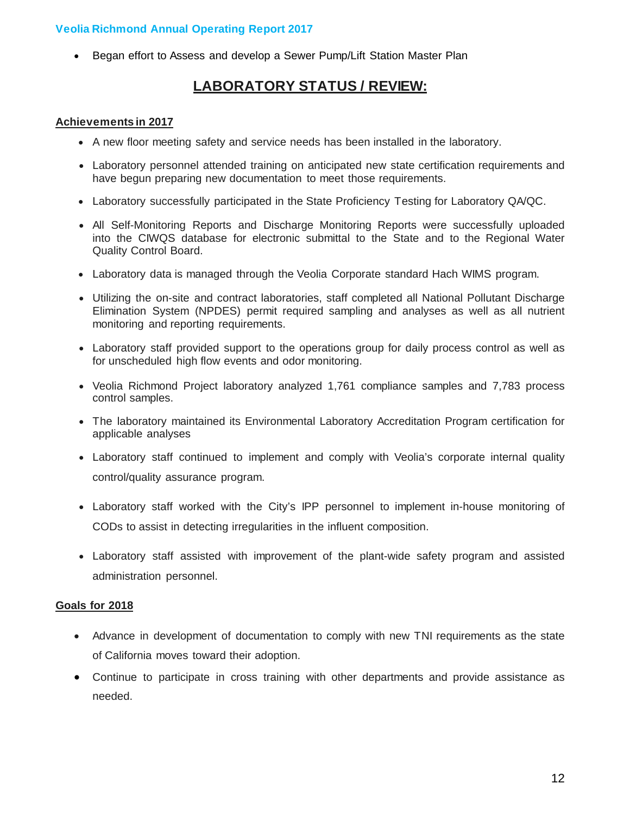• Began effort to Assess and develop a Sewer Pump/Lift Station Master Plan

# **LABORATORY STATUS / REVIEW:**

#### **Achievements in 2017**

- A new floor meeting safety and service needs has been installed in the laboratory.
- Laboratory personnel attended training on anticipated new state certification requirements and have begun preparing new documentation to meet those requirements.
- Laboratory successfully participated in the State Proficiency Testing for Laboratory QA/QC.
- All Self-Monitoring Reports and Discharge Monitoring Reports were successfully uploaded into the CIWQS database for electronic submittal to the State and to the Regional Water Quality Control Board.
- Laboratory data is managed through the Veolia Corporate standard Hach WIMS program.
- Utilizing the on-site and contract laboratories, staff completed all National Pollutant Discharge Elimination System (NPDES) permit required sampling and analyses as well as all nutrient monitoring and reporting requirements.
- Laboratory staff provided support to the operations group for daily process control as well as for unscheduled high flow events and odor monitoring.
- Veolia Richmond Project laboratory analyzed 1,761 compliance samples and 7,783 process control samples.
- The laboratory maintained its Environmental Laboratory Accreditation Program certification for applicable analyses
- Laboratory staff continued to implement and comply with Veolia's corporate internal quality control/quality assurance program.
- Laboratory staff worked with the City's IPP personnel to implement in-house monitoring of CODs to assist in detecting irregularities in the influent composition.
- Laboratory staff assisted with improvement of the plant-wide safety program and assisted administration personnel.

#### **Goals for 2018**

- Advance in development of documentation to comply with new TNI requirements as the state of California moves toward their adoption.
- Continue to participate in cross training with other departments and provide assistance as needed.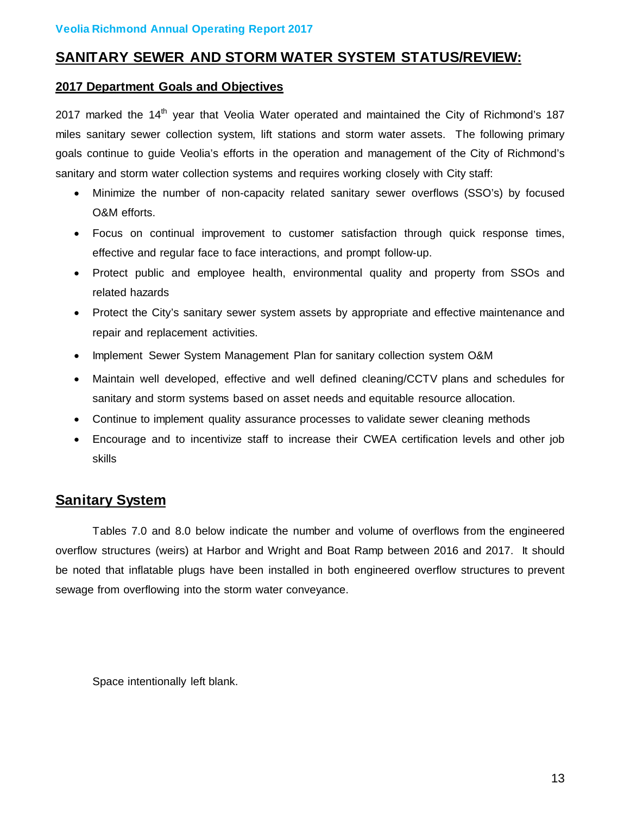# **SANITARY SEWER AND STORM WATER SYSTEM STATUS/REVIEW:**

#### **2017 Department Goals and Objectives**

2017 marked the 14<sup>th</sup> year that Veolia Water operated and maintained the City of Richmond's 187 miles sanitary sewer collection system, lift stations and storm water assets. The following primary goals continue to guide Veolia's efforts in the operation and management of the City of Richmond's sanitary and storm water collection systems and requires working closely with City staff:

- Minimize the number of non-capacity related sanitary sewer overflows (SSO's) by focused O&M efforts.
- Focus on continual improvement to customer satisfaction through quick response times, effective and regular face to face interactions, and prompt follow-up.
- Protect public and employee health, environmental quality and property from SSOs and related hazards
- Protect the City's sanitary sewer system assets by appropriate and effective maintenance and repair and replacement activities.
- Implement Sewer System Management Plan for sanitary collection system O&M
- Maintain well developed, effective and well defined cleaning/CCTV plans and schedules for sanitary and storm systems based on asset needs and equitable resource allocation.
- Continue to implement quality assurance processes to validate sewer cleaning methods
- Encourage and to incentivize staff to increase their CWEA certification levels and other job skills

# **Sanitary System**

Tables 7.0 and 8.0 below indicate the number and volume of overflows from the engineered overflow structures (weirs) at Harbor and Wright and Boat Ramp between 2016 and 2017. It should be noted that inflatable plugs have been installed in both engineered overflow structures to prevent sewage from overflowing into the storm water conveyance.

Space intentionally left blank.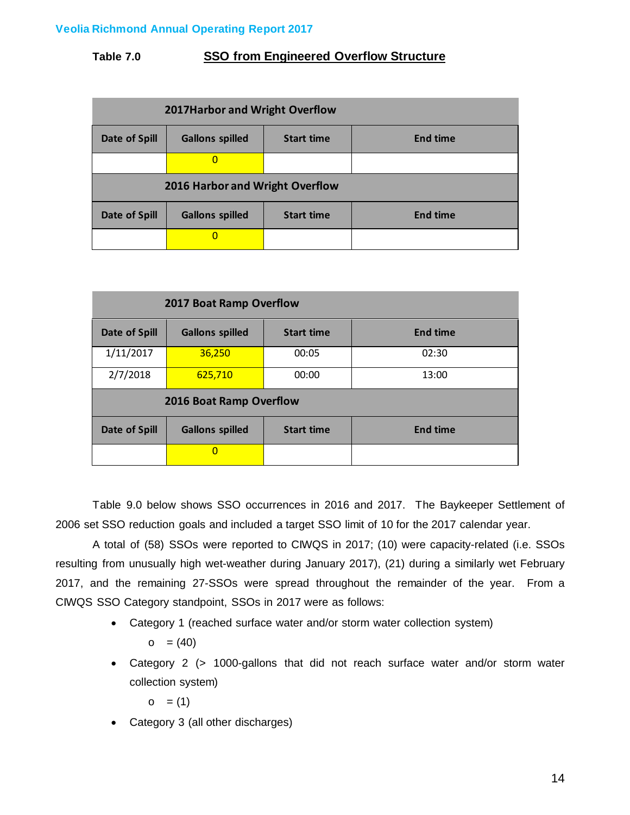## **Table 7.0 SSO from Engineered Overflow Structure**

| 2017 Harbor and Wright Overflow |                                 |                   |                 |  |  |  |  |
|---------------------------------|---------------------------------|-------------------|-----------------|--|--|--|--|
| Date of Spill                   | <b>Gallons spilled</b>          | <b>Start time</b> | <b>End time</b> |  |  |  |  |
|                                 |                                 |                   |                 |  |  |  |  |
|                                 | 2016 Harbor and Wright Overflow |                   |                 |  |  |  |  |
| Date of Spill                   | <b>Gallons spilled</b>          | <b>Start time</b> | <b>End time</b> |  |  |  |  |
|                                 |                                 |                   |                 |  |  |  |  |

|                         | 2017 Boat Ramp Overflow |                   |                 |  |  |  |
|-------------------------|-------------------------|-------------------|-----------------|--|--|--|
| Date of Spill           | <b>Gallons spilled</b>  | <b>Start time</b> | <b>End time</b> |  |  |  |
| 1/11/2017               | 36,250                  | 00:05             | 02:30           |  |  |  |
| 2/7/2018                | 625,710                 | 00:00             | 13:00           |  |  |  |
| 2016 Boat Ramp Overflow |                         |                   |                 |  |  |  |
| Date of Spill           | <b>Gallons spilled</b>  | <b>Start time</b> | <b>End time</b> |  |  |  |
|                         | $\Omega$                |                   |                 |  |  |  |

Table 9.0 below shows SSO occurrences in 2016 and 2017. The Baykeeper Settlement of 2006 set SSO reduction goals and included a target SSO limit of 10 for the 2017 calendar year.

A total of (58) SSOs were reported to CIWQS in 2017; (10) were capacity-related (i.e. SSOs resulting from unusually high wet-weather during January 2017), (21) during a similarly wet February 2017, and the remaining 27-SSOs were spread throughout the remainder of the year. From a CIWQS SSO Category standpoint, SSOs in 2017 were as follows:

• Category 1 (reached surface water and/or storm water collection system)

 $\circ$  = (40)

• Category 2 (> 1000-gallons that did not reach surface water and/or storm water collection system)

 $\circ$  = (1)

• Category 3 (all other discharges)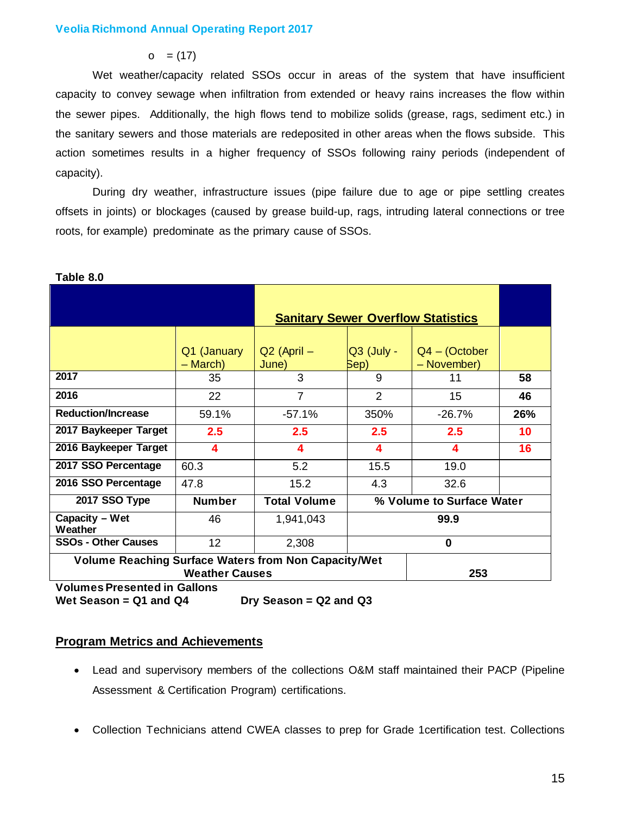$\circ$  = (17)

Wet weather/capacity related SSOs occur in areas of the system that have insufficient capacity to convey sewage when infiltration from extended or heavy rains increases the flow within the sewer pipes. Additionally, the high flows tend to mobilize solids (grease, rags, sediment etc.) in the sanitary sewers and those materials are redeposited in other areas when the flows subside. This action sometimes results in a higher frequency of SSOs following rainy periods (independent of capacity).

During dry weather, infrastructure issues (pipe failure due to age or pipe settling creates offsets in joints) or blockages (caused by grease build-up, rags, intruding lateral connections or tree roots, for example) predominate as the primary cause of SSOs.

|                                                             |                         |                          |                      | <b>Sanitary Sewer Overflow Statistics</b> |     |  |
|-------------------------------------------------------------|-------------------------|--------------------------|----------------------|-------------------------------------------|-----|--|
|                                                             | Q1 (January<br>– March) | $Q2$ (April $-$<br>June) | $Q3$ (July -<br>Sep) | $Q4 - (October$<br>- November)            |     |  |
| 2017                                                        | 35                      | 3                        | 9                    | 11                                        | 58  |  |
| 2016                                                        | 22                      | $\overline{7}$           | 2                    | 15                                        | 46  |  |
| <b>Reduction/Increase</b>                                   | 59.1%                   | $-57.1%$                 | 350%                 | $-26.7%$                                  | 26% |  |
| 2017 Baykeeper Target                                       | 2.5                     | 2.5                      | 2.5                  | $2.5\phantom{0}$                          | 10  |  |
| 2016 Baykeeper Target                                       | 4                       | 4                        | 4                    | 4                                         | 16  |  |
| 2017 SSO Percentage                                         | 60.3                    | 5.2                      | 15.5                 | 19.0                                      |     |  |
| 2016 SSO Percentage                                         | 47.8                    | 15.2                     | 4.3                  | 32.6                                      |     |  |
| 2017 SSO Type                                               | <b>Number</b>           | <b>Total Volume</b>      |                      | % Volume to Surface Water                 |     |  |
| Capacity - Wet<br>Weather                                   | 46                      | 1,941,043                | 99.9                 |                                           |     |  |
| <b>SSOs - Other Causes</b>                                  | 12                      | 2,308                    |                      | $\bf{0}$                                  |     |  |
| <b>Volume Reaching Surface Waters from Non Capacity/Wet</b> | <b>Weather Causes</b>   |                          |                      | 253                                       |     |  |

**Table 8.0**

**Volumes Presented in Gallons Wet Season = Q1 and Q4 Dry Season = Q2 and Q3** 

### **Program Metrics and Achievements**

- Lead and supervisory members of the collections O&M staff maintained their PACP (Pipeline Assessment & Certification Program) certifications.
- Collection Technicians attend CWEA classes to prep for Grade 1certification test. Collections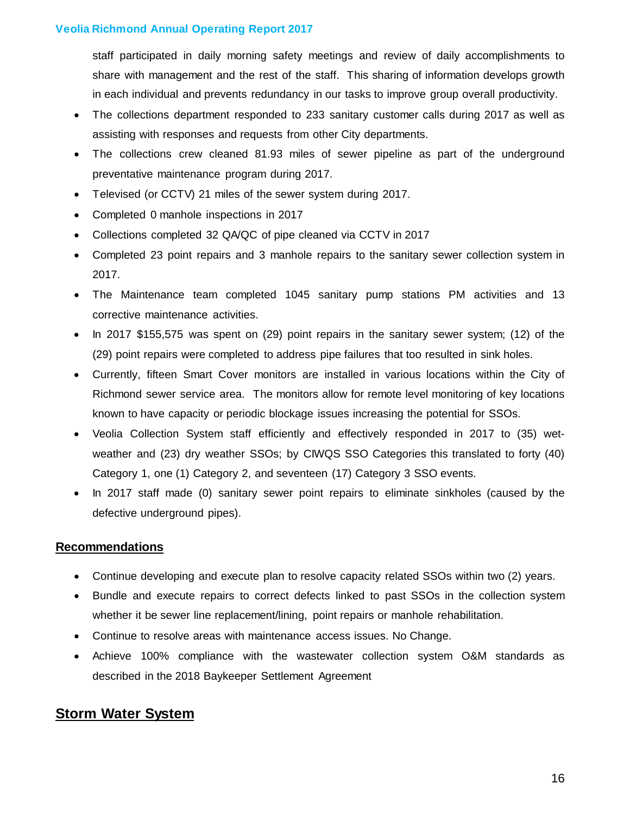staff participated in daily morning safety meetings and review of daily accomplishments to share with management and the rest of the staff. This sharing of information develops growth in each individual and prevents redundancy in our tasks to improve group overall productivity.

- The collections department responded to 233 sanitary customer calls during 2017 as well as assisting with responses and requests from other City departments.
- The collections crew cleaned 81.93 miles of sewer pipeline as part of the underground preventative maintenance program during 2017.
- Televised (or CCTV) 21 miles of the sewer system during 2017.
- Completed 0 manhole inspections in 2017
- Collections completed 32 QA/QC of pipe cleaned via CCTV in 2017
- Completed 23 point repairs and 3 manhole repairs to the sanitary sewer collection system in 2017.
- The Maintenance team completed 1045 sanitary pump stations PM activities and 13 corrective maintenance activities.
- In 2017 \$155,575 was spent on (29) point repairs in the sanitary sewer system; (12) of the (29) point repairs were completed to address pipe failures that too resulted in sink holes.
- Currently, fifteen Smart Cover monitors are installed in various locations within the City of Richmond sewer service area. The monitors allow for remote level monitoring of key locations known to have capacity or periodic blockage issues increasing the potential for SSOs.
- Veolia Collection System staff efficiently and effectively responded in 2017 to (35) wetweather and (23) dry weather SSOs; by CIWQS SSO Categories this translated to forty (40) Category 1, one (1) Category 2, and seventeen (17) Category 3 SSO events.
- In 2017 staff made (0) sanitary sewer point repairs to eliminate sinkholes (caused by the defective underground pipes).

### **Recommendations**

- Continue developing and execute plan to resolve capacity related SSOs within two (2) years.
- Bundle and execute repairs to correct defects linked to past SSOs in the collection system whether it be sewer line replacement/lining, point repairs or manhole rehabilitation.
- Continue to resolve areas with maintenance access issues. No Change.
- Achieve 100% compliance with the wastewater collection system O&M standards as described in the 2018 Baykeeper Settlement Agreement

# **Storm Water System**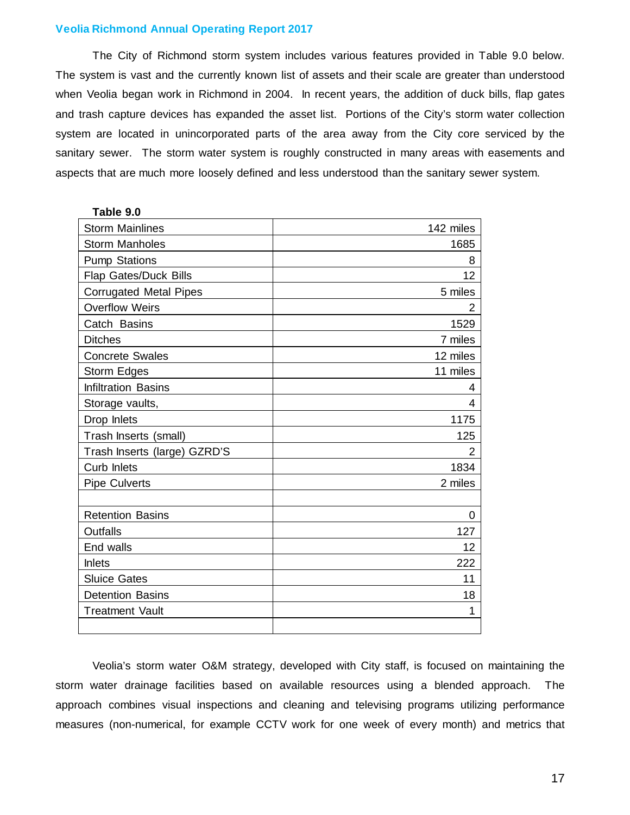The City of Richmond storm system includes various features provided in Table 9.0 below. The system is vast and the currently known list of assets and their scale are greater than understood when Veolia began work in Richmond in 2004. In recent years, the addition of duck bills, flap gates and trash capture devices has expanded the asset list. Portions of the City's storm water collection system are located in unincorporated parts of the area away from the City core serviced by the sanitary sewer. The storm water system is roughly constructed in many areas with easements and aspects that are much more loosely defined and less understood than the sanitary sewer system.

| Table 9.0                     |           |
|-------------------------------|-----------|
| <b>Storm Mainlines</b>        | 142 miles |
| <b>Storm Manholes</b>         | 1685      |
| <b>Pump Stations</b>          | 8         |
| Flap Gates/Duck Bills         | 12        |
| <b>Corrugated Metal Pipes</b> | 5 miles   |
| <b>Overflow Weirs</b>         | 2         |
| Catch Basins                  | 1529      |
| <b>Ditches</b>                | 7 miles   |
| <b>Concrete Swales</b>        | 12 miles  |
| Storm Edges                   | 11 miles  |
| <b>Infiltration Basins</b>    | 4         |
| Storage vaults,               | 4         |
| Drop Inlets                   | 1175      |
| Trash Inserts (small)         | 125       |
| Trash Inserts (large) GZRD'S  | 2         |
| Curb Inlets                   | 1834      |
| <b>Pipe Culverts</b>          | 2 miles   |
|                               |           |
| <b>Retention Basins</b>       | 0         |
| <b>Outfalls</b>               | 127       |
| End walls                     | 12        |
| <b>Inlets</b>                 | 222       |
| <b>Sluice Gates</b>           | 11        |
| <b>Detention Basins</b>       | 18        |
| <b>Treatment Vault</b>        | 1         |
|                               |           |

Veolia's storm water O&M strategy, developed with City staff, is focused on maintaining the storm water drainage facilities based on available resources using a blended approach. The approach combines visual inspections and cleaning and televising programs utilizing performance measures (non-numerical, for example CCTV work for one week of every month) and metrics that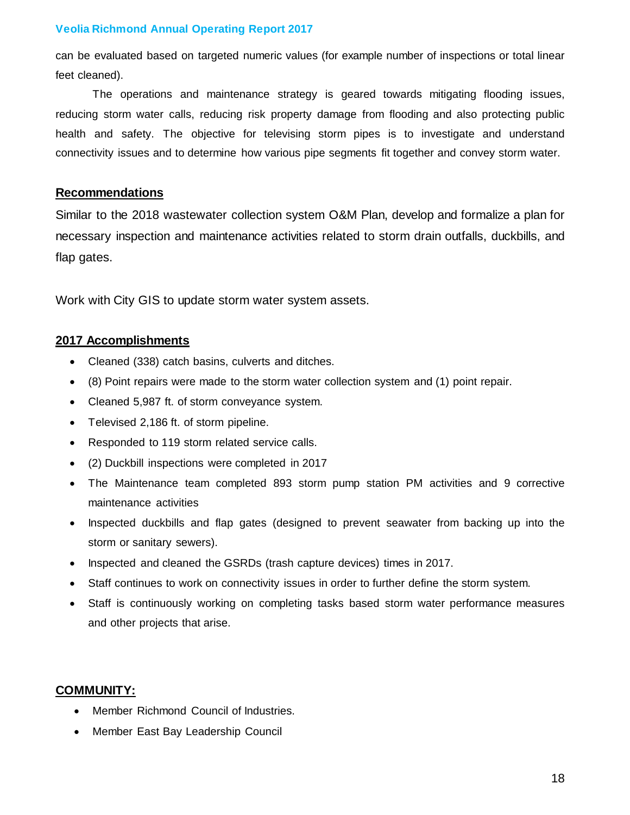can be evaluated based on targeted numeric values (for example number of inspections or total linear feet cleaned).

The operations and maintenance strategy is geared towards mitigating flooding issues, reducing storm water calls, reducing risk property damage from flooding and also protecting public health and safety. The objective for televising storm pipes is to investigate and understand connectivity issues and to determine how various pipe segments fit together and convey storm water.

#### **Recommendations**

Similar to the 2018 wastewater collection system O&M Plan, develop and formalize a plan for necessary inspection and maintenance activities related to storm drain outfalls, duckbills, and flap gates.

Work with City GIS to update storm water system assets.

### **2017 Accomplishments**

- Cleaned (338) catch basins, culverts and ditches.
- (8) Point repairs were made to the storm water collection system and (1) point repair.
- Cleaned 5,987 ft. of storm conveyance system.
- Televised 2,186 ft. of storm pipeline.
- Responded to 119 storm related service calls.
- (2) Duckbill inspections were completed in 2017
- The Maintenance team completed 893 storm pump station PM activities and 9 corrective maintenance activities
- Inspected duckbills and flap gates (designed to prevent seawater from backing up into the storm or sanitary sewers).
- Inspected and cleaned the GSRDs (trash capture devices) times in 2017.
- Staff continues to work on connectivity issues in order to further define the storm system.
- Staff is continuously working on completing tasks based storm water performance measures and other projects that arise.

### **COMMUNITY:**

- Member Richmond Council of Industries.
- Member East Bay Leadership Council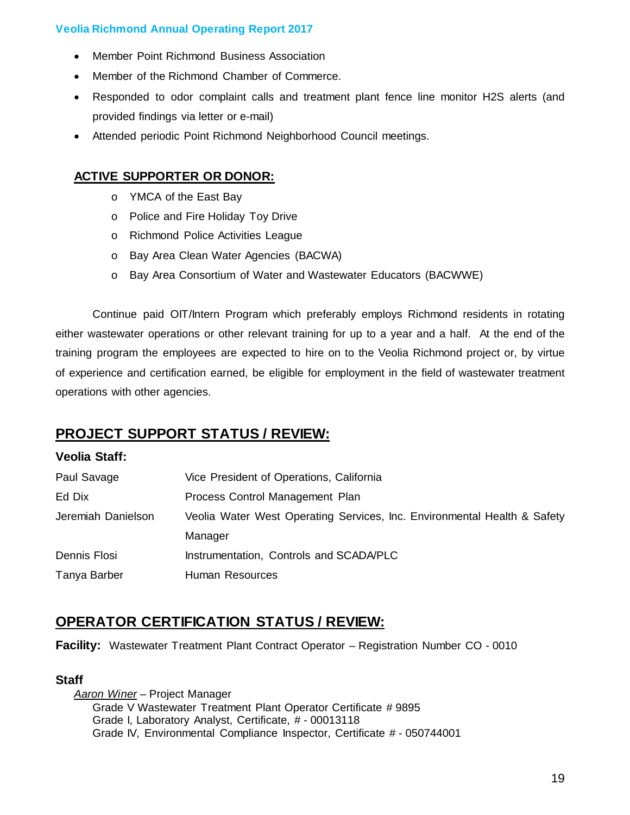- Member Point Richmond Business Association
- Member of the Richmond Chamber of Commerce.
- Responded to odor complaint calls and treatment plant fence line monitor H2S alerts (and provided findings via letter or e-mail)
- Attended periodic Point Richmond Neighborhood Council meetings.

## **ACTIVE SUPPORTER OR DONOR:**

- o YMCA of the East Bay
- o Police and Fire Holiday Toy Drive
- o Richmond Police Activities League
- o Bay Area Clean Water Agencies (BACWA)
- o Bay Area Consortium of Water and Wastewater Educators (BACWWE)

Continue paid OIT/Intern Program which preferably employs Richmond residents in rotating either wastewater operations or other relevant training for up to a year and a half. At the end of the training program the employees are expected to hire on to the Veolia Richmond project or, by virtue of experience and certification earned, be eligible for employment in the field of wastewater treatment operations with other agencies.

# **PROJECT SUPPORT STATUS / REVIEW:**

### **Veolia Staff:**

| Paul Savage        | Vice President of Operations, California                                 |
|--------------------|--------------------------------------------------------------------------|
| Ed Dix             | Process Control Management Plan                                          |
| Jeremiah Danielson | Veolia Water West Operating Services, Inc. Environmental Health & Safety |
|                    | Manager                                                                  |
| Dennis Flosi       | Instrumentation, Controls and SCADA/PLC                                  |
| Tanya Barber       | Human Resources                                                          |

# **OPERATOR CERTIFICATION STATUS / REVIEW:**

**Facility:** Wastewater Treatment Plant Contract Operator – Registration Number CO - 0010

### **Staff**

*Aaron Winer* – Project Manager Grade V Wastewater Treatment Plant Operator Certificate # 9895 Grade I, Laboratory Analyst, Certificate, # - 00013118 Grade IV, Environmental Compliance Inspector, Certificate # - 050744001